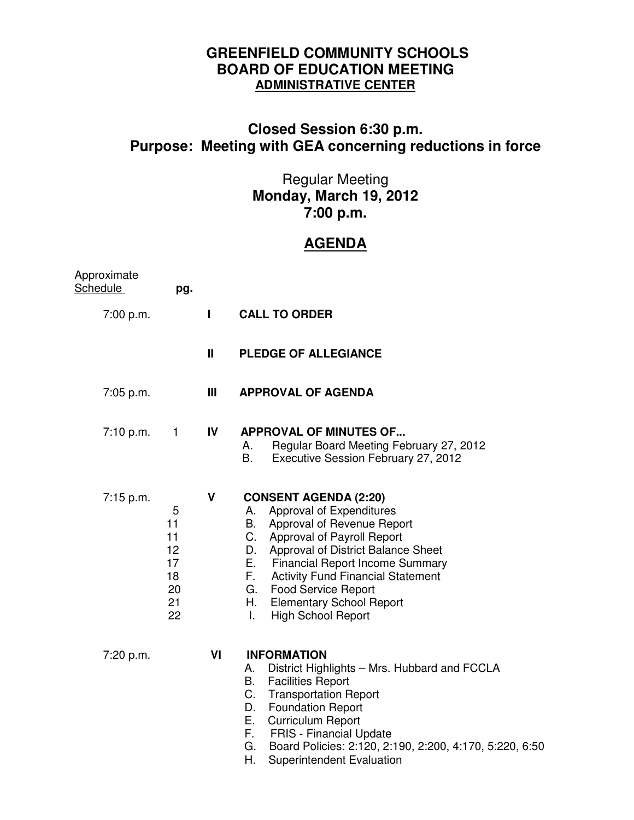## **GREENFIELD COMMUNITY SCHOOLS BOARD OF EDUCATION MEETING ADMINISTRATIVE CENTER**

## **Closed Session 6:30 p.m. Purpose: Meeting with GEA concerning reductions in force**

## Regular Meeting **Monday, March 19, 2012 7:00 p.m.**

## **AGENDA**

| Approximate<br><b>Schedule</b> | pg.                                               |              |                                                                                                                                                                                                                                                                                                                                                     |
|--------------------------------|---------------------------------------------------|--------------|-----------------------------------------------------------------------------------------------------------------------------------------------------------------------------------------------------------------------------------------------------------------------------------------------------------------------------------------------------|
| 7:00 p.m.                      |                                                   | п            | <b>CALL TO ORDER</b>                                                                                                                                                                                                                                                                                                                                |
|                                |                                                   | $\mathbf{I}$ | <b>PLEDGE OF ALLEGIANCE</b>                                                                                                                                                                                                                                                                                                                         |
| 7:05 p.m.                      |                                                   | Ш            | <b>APPROVAL OF AGENDA</b>                                                                                                                                                                                                                                                                                                                           |
| 7:10 p.m.                      | $\mathbf{1}$                                      | IV           | <b>APPROVAL OF MINUTES OF</b><br>Regular Board Meeting February 27, 2012<br>А.<br>Β.<br>Executive Session February 27, 2012                                                                                                                                                                                                                         |
| 7:15 p.m.                      | 5<br>11<br>11<br>12<br>17<br>18<br>20<br>21<br>22 | V            | <b>CONSENT AGENDA (2:20)</b><br>Approval of Expenditures<br>А.<br>B. Approval of Revenue Report<br>C. Approval of Payroll Report<br>D. Approval of District Balance Sheet<br>E. Financial Report Income Summary<br>F. Activity Fund Financial Statement<br>G. Food Service Report<br>H. Elementary School Report<br><b>High School Report</b><br>L. |
| 7:20 p.m.                      |                                                   | VI           | <b>INFORMATION</b><br>District Highlights - Mrs. Hubbard and FCCLA<br>А.<br>В.<br><b>Facilities Report</b><br>C.<br><b>Transportation Report</b><br><b>Foundation Report</b><br>D.<br>E. Curriculum Report<br>F. FRIS - Financial Update<br>G. Board Policies: 2:120, 2:190, 2:200, 4:170, 5:220, 6:50<br>Η.<br><b>Superintendent Evaluation</b>    |